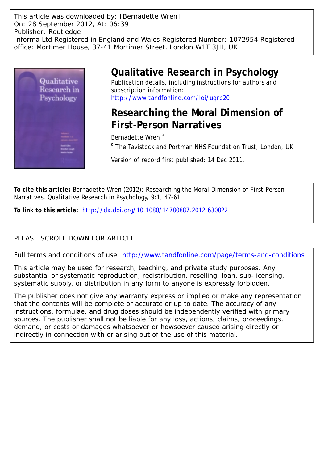This article was downloaded by: [Bernadette Wren] On: 28 September 2012, At: 06:39 Publisher: Routledge Informa Ltd Registered in England and Wales Registered Number: 1072954 Registered office: Mortimer House, 37-41 Mortimer Street, London W1T 3JH, UK



# **Qualitative Research in Psychology**

Publication details, including instructions for authors and subscription information: <http://www.tandfonline.com/loi/uqrp20>

# **Researching the Moral Dimension of First-Person Narratives**

Bernadette Wren<sup>a</sup>

<sup>a</sup> The Tavistock and Portman NHS Foundation Trust, London, UK

Version of record first published: 14 Dec 2011.

**To cite this article:** Bernadette Wren (2012): Researching the Moral Dimension of First-Person Narratives, Qualitative Research in Psychology, 9:1, 47-61

**To link to this article:** <http://dx.doi.org/10.1080/14780887.2012.630822>

## PLEASE SCROLL DOWN FOR ARTICLE

Full terms and conditions of use:<http://www.tandfonline.com/page/terms-and-conditions>

This article may be used for research, teaching, and private study purposes. Any substantial or systematic reproduction, redistribution, reselling, loan, sub-licensing, systematic supply, or distribution in any form to anyone is expressly forbidden.

The publisher does not give any warranty express or implied or make any representation that the contents will be complete or accurate or up to date. The accuracy of any instructions, formulae, and drug doses should be independently verified with primary sources. The publisher shall not be liable for any loss, actions, claims, proceedings, demand, or costs or damages whatsoever or howsoever caused arising directly or indirectly in connection with or arising out of the use of this material.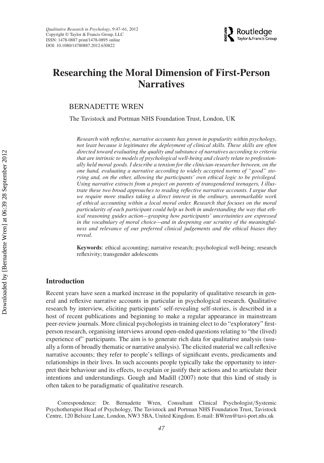*Qualitative Research in Psychology*, 9:47–61, 2012 Copyright © Taylor & Francis Group, LLC ISSN: 1478-0887 print/1478-0895 online DOI: 10.1080/14780887.2012.630822



## **Researching the Moral Dimension of First-Person Narratives**

BERNADETTE WREN

The Tavistock and Portman NHS Foundation Trust, London, UK

*Research with reflexive, narrative accounts has grown in popularity within psychology, not least because it legitimates the deployment of clinical skills. These skills are often directed toward evaluating the quality and substance of narratives according to criteria that are intrinsic to models of psychological well-being and clearly relate to professionally held moral goods. I describe a tension for the clinician-researcher between, on the one hand, evaluating a narrative according to widely accepted norms of "good" storying and, on the other, allowing the participants' own ethical logic to be privileged. Using narrative extracts from a project on parents of transgendered teenagers, I illustrate these two broad approaches to reading reflective narrative accounts. I argue that we require more studies taking a direct interest in the ordinary, unremarkable work of ethical accounting within a local moral order. Research that focuses on the moral particularity of each participant could help us both in understanding the way that ethical reasoning guides action—grasping how participants' uncertainties are expressed in the vocabulary of moral choice—and in deepening our scrutiny of the meaningfulness and relevance of our preferred clinical judgements and the ethical biases they reveal.*

**Keywords**: ethical accounting; narrative research; psychological well-being; research reflexivity; transgender adolescents

## **Introduction**

Recent years have seen a marked increase in the popularity of qualitative research in general and reflexive narrative accounts in particular in psychological research. Qualitative research by interview, eliciting participants' self-revealing self-stories, is described in a host of recent publications and beginning to make a regular appearance in mainstream peer-review journals. More clinical psychologists in training elect to do "exploratory" firstperson research, organising interviews around open-ended questions relating to "the (lived) experience of" participants. The aim is to generate rich data for qualitative analysis (usually a form of broadly thematic or narrative analysis). The elicited material we call reflexive narrative accounts; they refer to people's tellings of significant events, predicaments and relationships in their lives. In such accounts people typically take the opportunity to interpret their behaviour and its effects, to explain or justify their actions and to articulate their intentions and understandings. Gough and Madill (2007) note that this kind of study is often taken to be paradigmatic of qualitative research.

Correspondence: Dr. Bernadette Wren, Consultant Clinical Psychologist*/*Systemic Psychotherapist Head of Psychology, The Tavistock and Portman NHS Foundation Trust, Tavistock Centre, 120 Belsize Lane, London, NW3 5BA, United Kingdom. E-mail: BWren@tavi-port.nhs.uk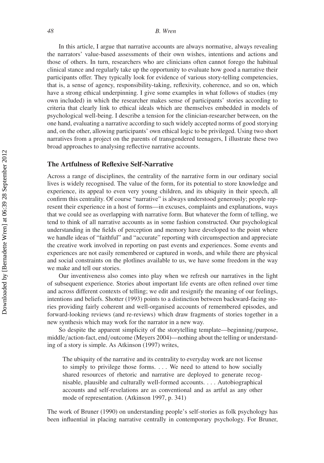#### *48 B. Wren*

In this article, I argue that narrative accounts are always normative, always revealing the narrators' value-based assessments of their own wishes, intentions and actions and those of others. In turn, researchers who are clinicians often cannot forego the habitual clinical stance and regularly take up the opportunity to evaluate how good a narrative their participants offer. They typically look for evidence of various story-telling competencies, that is, a sense of agency, responsibility-taking, reflexivity, coherence, and so on, which have a strong ethical underpinning. I give some examples in what follows of studies (my own included) in which the researcher makes sense of participants' stories according to criteria that clearly link to ethical ideals which are themselves embedded in models of psychological well-being. I describe a tension for the clinician-researcher between, on the one hand, evaluating a narrative according to such widely accepted norms of good storying and, on the other, allowing participants' own ethical logic to be privileged. Using two short narratives from a project on the parents of transgendered teenagers, I illustrate these two broad approaches to analysing reflective narrative accounts.

## **The Artfulness of Reflexive Self-Narrative**

Across a range of disciplines, the centrality of the narrative form in our ordinary social lives is widely recognised. The value of the form, for its potential to store knowledge and experience, its appeal to even very young children, and its ubiquity in their speech, all confirm this centrality. Of course "narrative" is always understood generously; people represent their experience in a host of forms—in excuses, complaints and explanations, ways that we could see as overlapping with narrative form. But whatever the form of telling, we tend to think of all narrative accounts as in some fashion constructed. Our psychological understanding in the fields of perception and memory have developed to the point where we handle ideas of "faithful" and "accurate" reporting with circumspection and appreciate the creative work involved in reporting on past events and experiences. Some events and experiences are not easily remembered or captured in words, and while there are physical and social constraints on the plotlines available to us, we have some freedom in the way we make and tell our stories.

Our inventiveness also comes into play when we refresh our narratives in the light of subsequent experience. Stories about important life events are often refined over time and across different contexts of telling; we edit and resignify the meaning of our feelings, intentions and beliefs. Shotter (1993) points to a distinction between backward-facing stories providing fairly coherent and well-organised accounts of remembered episodes, and forward-looking reviews (and re-reviews) which draw fragments of stories together in a new synthesis which may work for the narrator in a new way.

So despite the apparent simplicity of the storytelling template—beginning*/*purpose, middle*/*action-fact, end*/*outcome (Meyers 2004)—nothing about the telling or understanding of a story is simple. As Atkinson (1997) writes,

The ubiquity of the narrative and its centrality to everyday work are not license to simply to privilege those forms. *...* We need to attend to how socially shared resources of rhetoric and narrative are deployed to generate recognisable, plausible and culturally well-formed accounts. *...* Autobiographical accounts and self-revelations are as conventional and as artful as any other mode of representation. (Atkinson 1997, p. 341)

The work of Bruner (1990) on understanding people's self-stories as folk psychology has been influential in placing narrative centrally in contemporary psychology. For Bruner,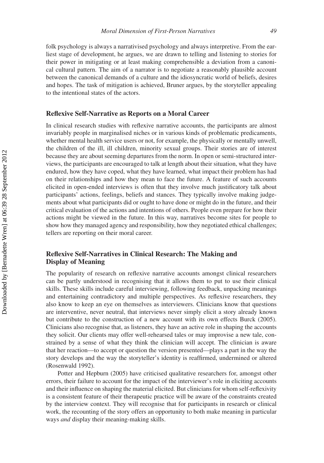folk psychology is always a narrativised psychology and always interpretive. From the earliest stage of development, he argues, we are drawn to telling and listening to stories for their power in mitigating or at least making comprehensible a deviation from a canonical cultural pattern. The aim of a narrator is to negotiate a reasonably plausible account between the canonical demands of a culture and the idiosyncratic world of beliefs, desires and hopes. The task of mitigation is achieved, Bruner argues, by the storyteller appealing to the intentional states of the actors.

### **Reflexive Self-Narrative as Reports on a Moral Career**

In clinical research studies with reflexive narrative accounts, the participants are almost invariably people in marginalised niches or in various kinds of problematic predicaments, whether mental health service users or not, for example, the physically or mentally unwell, the children of the ill, ill children, minority sexual groups. Their stories are of interest because they are about seeming departures from the norm. In open or semi-structured interviews, the participants are encouraged to talk at length about their situation, what they have endured, how they have coped, what they have learned, what impact their problem has had on their relationships and how they mean to face the future. A feature of such accounts elicited in open-ended interviews is often that they involve much justificatory talk about participants' actions, feelings, beliefs and stances. They typically involve making judgements about what participants did or ought to have done or might do in the future, and their critical evaluation of the actions and intentions of others. People even prepare for how their actions might be viewed in the future. In this way, narratives become sites for people to show how they managed agency and responsibility, how they negotiated ethical challenges; tellers are reporting on their moral career.

## **Reflexive Self-Narratives in Clinical Research: The Making and Display of Meaning**

The popularity of research on reflexive narrative accounts amongst clinical researchers can be partly understood in recognising that it allows them to put to use their clinical skills. These skills include careful interviewing, following feedback, unpacking meanings and entertaining contradictory and multiple perspectives. As reflexive researchers, they also know to keep an eye on themselves as interviewers. Clinicians know that questions are interventive, never neutral, that interviews never simply elicit a story already known but contribute to the construction of a new account with its own effects Burck (2005). Clinicians also recognise that, as listeners, they have an active role in shaping the accounts they solicit. Our clients may offer well-rehearsed tales or may improvise a new tale, constrained by a sense of what they think the clinician will accept. The clinician is aware that her reaction—to accept or question the version presented—plays a part in the way the story develops and the way the storyteller's identity is reaffirmed, undermined or altered (Rosenwald 1992).

Potter and Hepburn (2005) have criticised qualitative researchers for, amongst other errors, their failure to account for the impact of the interviewer's role in eliciting accounts and their influence on shaping the material elicited. But clinicians for whom self-reflexivity is a consistent feature of their therapeutic practice will be aware of the constraints created by the interview context. They will recognise that for participants in research or clinical work, the recounting of the story offers an opportunity to both make meaning in particular ways *and* display their meaning-making skills.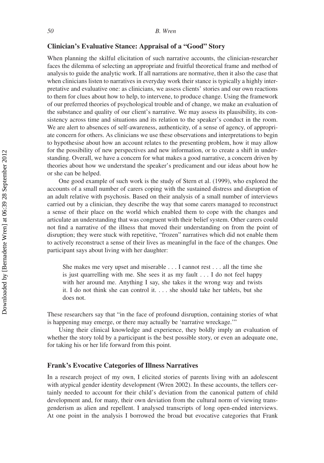## **Clinician's Evaluative Stance: Appraisal of a "Good" Story**

When planning the skilful elicitation of such narrative accounts, the clinician-researcher faces the dilemma of selecting an appropriate and fruitful theoretical frame and method of analysis to guide the analytic work. If all narrations are normative, then it also the case that when clinicians listen to narratives in everyday work their stance is typically a highly interpretative and evaluative one: as clinicians, we assess clients' stories and our own reactions to them for clues about how to help, to intervene, to produce change. Using the framework of our preferred theories of psychological trouble and of change, we make an evaluation of the substance and quality of our client's narrative. We may assess its plausibility, its consistency across time and situations and its relation to the speaker's conduct in the room. We are alert to absences of self-awareness, authenticity, of a sense of agency, of appropriate concern for others. As clinicians we use these observations and interpretations to begin to hypothesise about how an account relates to the presenting problem, how it may allow for the possibility of new perspectives and new information, or to create a shift in understanding. Overall, we have a concern for what makes a good narrative, a concern driven by theories about how we understand the speaker's predicament and our ideas about how he or she can be helped.

One good example of such work is the study of Stern et al. (1999), who explored the accounts of a small number of carers coping with the sustained distress and disruption of an adult relative with psychosis. Based on their analysis of a small number of interviews carried out by a clinician, they describe the way that some carers managed to reconstruct a sense of their place on the world which enabled them to cope with the changes and articulate an understanding that was congruent with their belief system. Other carers could not find a narrative of the illness that moved their understanding on from the point of disruption; they were stuck with repetitive, "frozen" narratives which did not enable them to actively reconstruct a sense of their lives as meaningful in the face of the changes. One participant says about living with her daughter:

She makes me very upset and miserable *...* I cannot rest *...* all the time she is just quarrelling with me. She sees it as my fault *...* I do not feel happy with her around me. Anything I say, she takes it the wrong way and twists it. I do not think she can control it. *...* she should take her tablets, but she does not.

These researchers say that "in the face of profound disruption, containing stories of what is happening may emerge, or there may actually be 'narrative wreckage.'"

Using their clinical knowledge and experience, they boldly imply an evaluation of whether the story told by a participant is the best possible story, or even an adequate one, for taking his or her life forward from this point.

## **Frank's Evocative Categories of Illness Narratives**

In a research project of my own, I elicited stories of parents living with an adolescent with atypical gender identity development (Wren 2002). In these accounts, the tellers certainly needed to account for their child's deviation from the canonical pattern of child development and, for many, their own deviation from the cultural norm of viewing transgenderism as alien and repellent. I analysed transcripts of long open-ended interviews. At one point in the analysis I borrowed the broad but evocative categories that Frank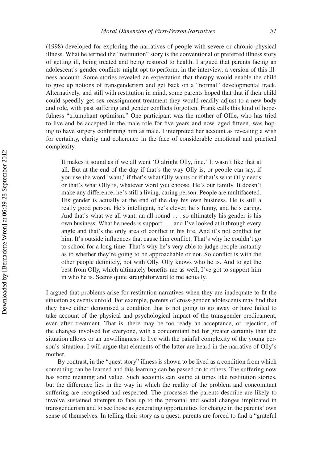(1998) developed for exploring the narratives of people with severe or chronic physical illness. What he termed the "restitution" story is the conventional or preferred illness story of getting ill, being treated and being restored to health. I argued that parents facing an adolescent's gender conflicts might opt to perform, in the interview, a version of this illness account. Some stories revealed an expectation that therapy would enable the child to give up notions of transgenderism and get back on a "normal" developmental track. Alternatively, and still with restitution in mind, some parents hoped that that if their child could speedily get sex reassignment treatment they would readily adjust to a new body and role, with past suffering and gender conflicts forgotten. Frank calls this kind of hopefulness "triumphant optimism." One participant was the mother of Ollie, who has tried to live and be accepted in the male role for five years and now, aged fifteen, was hoping to have surgery confirming him as male. I interpreted her account as revealing a wish for certainty, clarity and coherence in the face of considerable emotional and practical complexity.

It makes it sound as if we all went 'O alright Olly, fine.' It wasn't like that at all. But at the end of the day if that's the way Olly is, or people can say, if you use the word 'want,' if that's what Olly wants or if that's what Olly needs or that's what Olly is, whatever word you choose. He's our family. It doesn't make any difference, he's still a living, caring person. People are multifaceted. His gender is actually at the end of the day his own business. He is still a really good person. He's intelligent, he's clever, he's funny, and he's caring. And that's what we all want, an all-round *...* so ultimately his gender is his own business. What he needs is support *...* and I've looked at it through every angle and that's the only area of conflict in his life. And it's not conflict for him. It's outside influences that cause him conflict. That's why he couldn't go to school for a long time. That's why he's very able to judge people instantly as to whether they're going to be approachable or not. So conflict is with the other people definitely, not with Olly. Olly knows who he is. And to get the best from Olly, which ultimately benefits me as well, I've got to support him in who he is. Seems quite straightforward to me actually.

I argued that problems arise for restitution narratives when they are inadequate to fit the situation as events unfold. For example, parents of cross-gender adolescents may find that they have either demonised a condition that is not going to go away or have failed to take account of the physical and psychological impact of the transgender predicament, even after treatment. That is, there may be too ready an acceptance, or rejection, of the changes involved for everyone, with a concomitant bid for greater certainty than the situation allows or an unwillingness to live with the painful complexity of the young person's situation. I will argue that elements of the latter are heard in the narrative of Olly's mother.

By contrast, in the "quest story" illness is shown to be lived as a condition from which something can be learned and this learning can be passed on to others. The suffering now has some meaning and value. Such accounts can sound at times like restitution stories, but the difference lies in the way in which the reality of the problem and concomitant suffering are recognised and respected. The processes the parents describe are likely to involve sustained attempts to face up to the personal and social changes implicated in transgenderism and to see those as generating opportunities for change in the parents' own sense of themselves. In telling their story as a quest, parents are forced to find a "grateful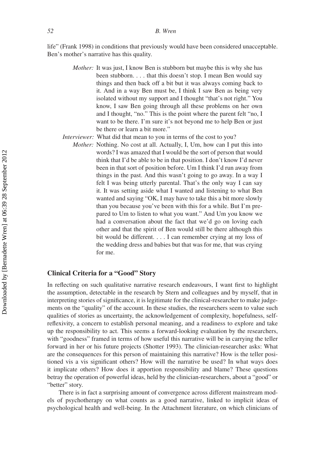life" (Frank 1998) in conditions that previously would have been considered unacceptable. Ben's mother's narrative has this quality.

- *Mother:* It was just, I know Ben is stubborn but maybe this is why she has been stubborn. *...* that this doesn't stop. I mean Ben would say things and then back off a bit but it was always coming back to it. And in a way Ben must be, I think I saw Ben as being very isolated without my support and I thought "that's not right." You know, I saw Ben going through all these problems on her own and I thought, "no." This is the point where the parent felt "no, I want to be there. I'm sure it's not beyond me to help Ben or just be there or learn a bit more."
- *Interviewer:* What did that mean to you in terms of the cost to you?
	- *Mother:* Nothing. No cost at all. Actually, I, Um, how can I put this into words? I was amazed that I would be the sort of person that would think that I'd be able to be in that position. I don't know I'd never been in that sort of position before. Um I think I'd run away from things in the past. And this wasn't going to go away. In a way I felt I was being utterly parental. That's the only way I can say it. It was setting aside what I wanted and listening to what Ben wanted and saying "OK, I may have to take this a bit more slowly than you because you've been with this for a while. But I'm prepared to Um to listen to what you want." And Um you know we had a conversation about the fact that we'd go on loving each other and that the spirit of Ben would still be there although this bit would be different. *...* I can remember crying at my loss of the wedding dress and babies but that was for me, that was crying for me.

## **Clinical Criteria for a "Good" Story**

In reflecting on such qualitative narrative research endeavours, I want first to highlight the assumption, detectable in the research by Stern and colleagues and by myself, that in interpreting stories of significance, it is legitimate for the clinical-researcher to make judgements on the "quality" of the account. In these studies, the researchers seem to value such qualities of stories as uncertainty, the acknowledgement of complexity, hopefulness, selfreflexivity, a concern to establish personal meaning, and a readiness to explore and take up the responsibility to act. This seems a forward-looking evaluation by the researchers, with "goodness" framed in terms of how useful this narrative will be in carrying the teller forward in her or his future projects (Shotter 1993). The clinician-researcher asks: What are the consequences for this person of maintaining this narrative? How is the teller positioned vis a vis significant others? How will the narrative be used? In what ways does it implicate others? How does it apportion responsibility and blame? These questions betray the operation of powerful ideas, held by the clinician-researchers, about a "good" or "better" story.

There is in fact a surprising amount of convergence across different mainstream models of psychotherapy on what counts as a good narrative, linked to implicit ideas of psychological health and well-being. In the Attachment literature, on which clinicians of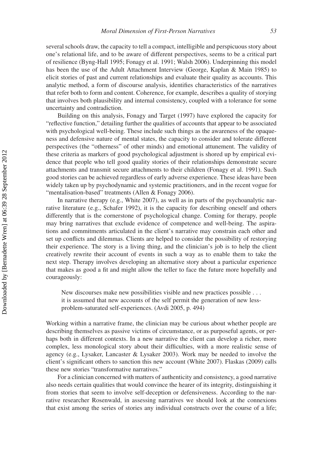several schools draw, the capacity to tell a compact, intelligible and perspicuous story about one's relational life, and to be aware of different perspectives, seems to be a critical part of resilience (Byng-Hall 1995; Fonagy et al. 1991; Walsh 2006). Underpinning this model has been the use of the Adult Attachment Interview (George, Kaplan & Main 1985) to elicit stories of past and current relationships and evaluate their quality as accounts. This analytic method, a form of discourse analysis, identifies characteristics of the narratives that refer both to form and content. Coherence, for example, describes a quality of storying that involves both plausibility and internal consistency, coupled with a tolerance for some uncertainty and contradiction.

Building on this analysis, Fonagy and Target (1997) have explored the capacity for "reflective function," detailing further the qualities of accounts that appear to be associated with psychological well-being. These include such things as the awareness of the opaqueness and defensive nature of mental states, the capacity to consider and tolerate different perspectives (the "otherness" of other minds) and emotional attunement. The validity of these criteria as markers of good psychological adjustment is shored up by empirical evidence that people who tell good quality stories of their relationships demonstrate secure attachments and transmit secure attachments to their children (Fonagy et al. 1991). Such good stories can be achieved regardless of early adverse experience. These ideas have been widely taken up by psychodynamic and systemic practitioners, and in the recent vogue for "mentalisation-based" treatments (Allen & Fonagy 2006).

In narrative therapy (e.g., White 2007), as well as in parts of the psychoanalytic narrative literature (e.g., Schafer 1992), it is the capacity for describing oneself and others differently that is the cornerstone of psychological change. Coming for therapy, people may bring narratives that exclude evidence of competence and well-being. The aspirations and commitments articulated in the client's narrative may constrain each other and set up conflicts and dilemmas. Clients are helped to consider the possibility of restorying their experience. The story is a living thing, and the clinician's job is to help the client creatively rewrite their account of events in such a way as to enable them to take the next step. Therapy involves developing an alternative story about a particular experience that makes as good a fit and might allow the teller to face the future more hopefully and courageously:

New discourses make new possibilities visible and new practices possible *...* it is assumed that new accounts of the self permit the generation of new lessproblem-saturated self-experiences. (Avdi 2005, p. 494)

Working within a narrative frame, the clinician may be curious about whether people are describing themselves as passive victims of circumstance, or as purposeful agents, or perhaps both in different contexts. In a new narrative the client can develop a richer, more complex, less monological story about their difficulties, with a more realistic sense of agency (e.g., Lysaker, Lancaster & Lysaker 2003). Work may be needed to involve the client's significant others to sanction this new account (White 2007). Flaskas (2009) calls these new stories "transformative narratives."

For a clinician concerned with matters of authenticity and consistency, a good narrative also needs certain qualities that would convince the hearer of its integrity, distinguishing it from stories that seem to involve self-deception or defensiveness. According to the narrative researcher Rosenwald, in assessing narratives we should look at the connexions that exist among the series of stories any individual constructs over the course of a life;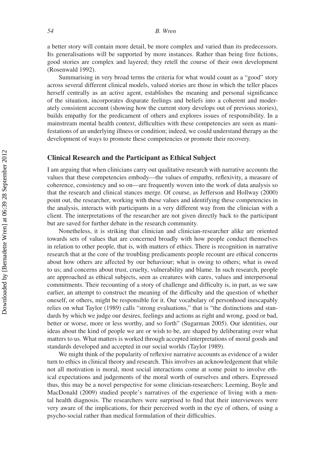#### *54 B. Wren*

a better story will contain more detail, be more complex and varied than its predecessors. Its generalisations will be supported by more instances. Rather than being free fictions, good stories are complex and layered; they retell the course of their own development (Rosenwald 1992).

Summarising in very broad terms the criteria for what would count as a "good" story across several different clinical models, valued stories are those in which the teller places herself centrally as an active agent, establishes the meaning and personal significance of the situation, incorporates disparate feelings and beliefs into a coherent and moderately consistent account (showing how the current story develops out of previous stories), builds empathy for the predicament of others and explores issues of responsibility. In a mainstream mental health context, difficulties with these competencies are seen as manifestations of an underlying illness or condition; indeed, we could understand therapy as the development of ways to promote these competencies or promote their recovery.

## **Clinical Research and the Participant as Ethical Subject**

I am arguing that when clinicians carry out qualitative research with narrative accounts the values that these competencies embody—the values of empathy, reflexivity, a measure of coherence, consistency and so on—are frequently woven into the work of data analysis so that the research and clinical stances merge. Of course, as Jefferson and Hollway (2000) point out, the researcher, working with these values and identifying these competencies in the analysis, interacts with participants in a very different way from the clinician with a client. The interpretations of the researcher are not given directly back to the participant but are saved for further debate in the research community.

Nonetheless, it is striking that clinician and clinician-researcher alike are oriented towards sets of values that are concerned broadly with how people conduct themselves in relation to other people, that is, with matters of ethics. There is recognition in narrative research that at the core of the troubling predicaments people recount are ethical concerns about how others are affected by our behaviour; what is owing to others; what is owed to us; and concerns about trust, cruelty, vulnerability and blame. In such research, people are approached as ethical subjects, seen as creatures with cares, values and interpersonal commitments. Their recounting of a story of challenge and difficulty is, in part, as we saw earlier, an attempt to construct the meaning of the difficulty and the question of whether oneself, or others, might be responsible for it. Our vocabulary of personhood inescapably relies on what Taylor (1989) calls "strong evaluations," that is "the distinctions and standards by which we judge our desires, feelings and actions as right and wrong, good or bad, better or worse, more or less worthy, and so forth" (Sugarman 2005). Our identities, our ideas about the kind of people we are or wish to be, are shaped by deliberating over what matters to us. What matters is worked through accepted interpretations of moral goods and standards developed and accepted in our social worlds (Taylor 1989).

We might think of the popularity of reflexive narrative accounts as evidence of a wider turn to ethics in clinical theory and research. This involves an acknowledgement that while not all motivation is moral, most social interactions come at some point to involve ethical expectations and judgements of the moral worth of ourselves and others. Expressed thus, this may be a novel perspective for some clinician-researchers: Leeming, Boyle and MacDonald (2009) studied people's narratives of the experience of living with a mental health diagnosis. The researchers were surprised to find that their interviewees were very aware of the implications, for their perceived worth in the eye of others, of using a psycho-social rather than medical formulation of their difficulties.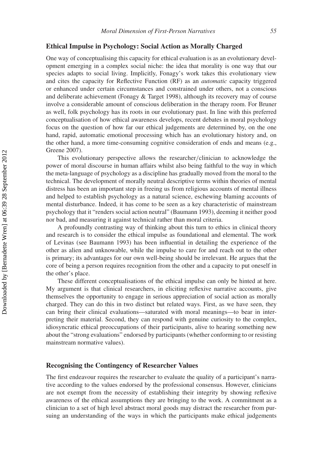## **Ethical Impulse in Psychology: Social Action as Morally Charged**

One way of conceptualising this capacity for ethical evaluation is as an evolutionary development emerging in a complex social niche: the idea that morality is one way that our species adapts to social living. Implicitly, Fonagy's work takes this evolutionary view and cites the capacity for Reflective Function (RF) as an *automatic* capacity triggered or enhanced under certain circumstances and constrained under others, not a conscious and deliberate achievement (Fonagy & Target 1998), although its recovery may of course involve a considerable amount of conscious deliberation in the therapy room. For Bruner as well, folk psychology has its roots in our evolutionary past. In line with this preferred conceptualisation of how ethical awareness develops, recent debates in moral psychology focus on the question of how far our ethical judgements are determined by, on the one hand, rapid, automatic emotional processing which has an evolutionary history and, on the other hand, a more time-consuming cognitive consideration of ends and means (e.g., Greene 2007).

This evolutionary perspective allows the researcher*/*clinician to acknowledge the power of moral discourse in human affairs whilst also being faithful to the way in which the meta-language of psychology as a discipline has gradually moved from the moral to the technical. The development of morally neutral descriptive terms within theories of mental distress has been an important step in freeing us from religious accounts of mental illness and helped to establish psychology as a natural science, eschewing blaming accounts of mental disturbance. Indeed, it has come to be seen as a key characteristic of mainstream psychology that it "renders social action neutral" (Baumann 1993), deeming it neither good nor bad, and measuring it against technical rather than moral criteria.

A profoundly contrasting way of thinking about this turn to ethics in clinical theory and research is to consider the ethical impulse as foundational and elemental. The work of Levinas (see Baumann 1993) has been influential in detailing the experience of the other as alien and unknowable, while the impulse to care for and reach out to the other is primary; its advantages for our own well-being should be irrelevant. He argues that the core of being a person requires recognition from the other and a capacity to put oneself in the other's place.

These different conceptualisations of the ethical impulse can only be hinted at here. My argument is that clinical researchers, in eliciting reflexive narrative accounts, give themselves the opportunity to engage in serious appreciation of social action as morally charged. They can do this in two distinct but related ways. First, as we have seen, they can bring their clinical evaluations—saturated with moral meanings—to bear in interpreting their material. Second, they can respond with genuine curiosity to the complex, idiosyncratic ethical preoccupations of their participants, alive to hearing something new about the "strong evaluations" endorsed by participants (whether conforming to or resisting mainstream normative values).

## **Recognising the Contingency of Researcher Values**

The first endeavour requires the researcher to evaluate the quality of a participant's narrative according to the values endorsed by the professional consensus. However, clinicians are not exempt from the necessity of establishing their integrity by showing reflexive awareness of the ethical assumptions they are bringing to the work. A commitment as a clinician to a set of high level abstract moral goods may distract the researcher from pursuing an understanding of the ways in which the participants make ethical judgements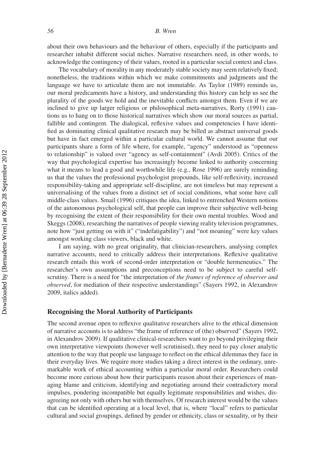about their own behaviours and the behaviour of others, especially if the participants and researcher inhabit different social niches. Narrative researchers need, in other words, to acknowledge the contingency of their values, rooted in a particular social context and class.

The vocabulary of morality in any moderately stable society may seem relatively fixed; nonetheless, the traditions within which we make commitments and judgments and the language we have to articulate them are not immutable. As Taylor (1989) reminds us, our moral predicaments have a history, and understanding this history can help us see the plurality of the goods we hold and the inevitable conflicts amongst them. Even if we are inclined to give up larger religious or philosophical meta-narratives, Rorty (1991) cautions us to hang on to those historical narratives which show our moral sources as partial, fallible and contingent. The dialogical, reflexive values and competencies I have identified as dominating clinical qualitative research may be billed as abstract universal goods but have in fact emerged within a particular cultural world. We cannot assume that our participants share a form of life where, for example, "agency" understood as "openness to relationship" is valued over "agency as self-containment" (Avdi 2005). Critics of the way that psychological expertise has increasingly become linked to authority concerning what it means to lead a good and worthwhile life (e.g., Rose 1996) are surely reminding us that the values the professional psychologist propounds, like self-reflexivity, increased responsibility-taking and appropriate self-discipline, are not timeless but may represent a universalising of the values from a distinct set of social conditions, what some have call middle-class values. Smail (1996) critiques the idea, linked to entrenched Western notions of the autonomous psychological self, that people can improve their subjective well-being by recognising the extent of their responsibility for their own mental troubles. Wood and Skeggs (2008), researching the narratives of people viewing reality television programmes, note how "just getting on with it" ("indefatigability") and "not moaning" were key values amongst working class viewers, black and white.

I am saying, with no great originality, that clinician-researchers, analysing complex narrative accounts, need to critically address their interpretations. Reflexive qualitative research entails this work of second-order interpretation or "double hermeneutics." The researcher's own assumptions and preconceptions need to be subject to careful selfscrutiny. There is a need for "the interpretation of *the frames of reference of observer and observed*, for mediation of their respective understandings" (Sayers 1992, in Alexandrov 2009, italics added).

## **Recognising the Moral Authority of Participants**

The second avenue open to reflexive qualitative researchers alive to the ethical dimension of narrative accounts is to address "the frame of reference of (the) observed" (Sayers 1992, in Alexandrov 2009). If qualitative clinical-researchers want to go beyond privileging their own interpretative viewpoints (however well scrutinised), they need to pay closer analytic attention to the way that people use language to reflect on the ethical dilemmas they face in their everyday lives. We require more studies taking a direct interest in the ordinary, unremarkable work of ethical accounting within a particular moral order. Researchers could become more curious about how their participants reason about their experiences of managing blame and criticism, identifying and negotiating around their contradictory moral impulses, pondering incompatible but equally legitimate responsibilities and wishes, disagreeing not only with others but with themselves. Of research interest would be the values that can be identified operating at a local level, that is, where "local" refers to particular cultural and social groupings, defined by gender or ethnicity, class or sexuality, or by their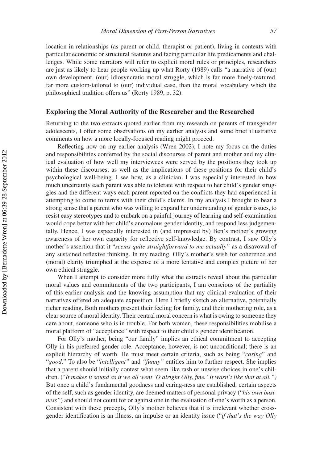location in relationships (as parent or child, therapist or patient), living in contexts with particular economic or structural features and facing particular life predicaments and challenges. While some narrators will refer to explicit moral rules or principles, researchers are just as likely to hear people working up what Rorty (1989) calls "a narrative of (our) own development, (our) idiosyncratic moral struggle, which is far more finely-textured, far more custom-tailored to (our) individual case, than the moral vocabulary which the philosophical tradition offers us" (Rorty 1989, p. 32).

## **Exploring the Moral Authority of the Researcher and the Researched**

Returning to the two extracts quoted earlier from my research on parents of transgender adolescents, I offer some observations on my earlier analysis and some brief illustrative comments on how a more locally-focused reading might proceed.

Reflecting now on my earlier analysis (Wren 2002), I note my focus on the duties and responsibilities conferred by the social discourses of parent and mother and my clinical evaluation of how well my interviewees were served by the positions they took up within these discourses, as well as the implications of these positions for their child's psychological well-being. I see how, as a clinician, I was especially interested in how much uncertainty each parent was able to tolerate with respect to her child's gender struggles and the different ways each parent reported on the conflicts they had experienced in attempting to come to terms with their child's claims. In my analysis I brought to bear a strong sense that a parent who was willing to expand her understanding of gender issues, to resist easy stereotypes and to embark on a painful journey of learning and self-examination would cope better with her child's anomalous gender identity, and respond less judgementally. Hence, I was especially interested in (and impressed by) Ben's mother's growing awareness of her own capacity for reflective self-knowledge. By contrast, I saw Olly's mother's assertion that it "*seems quite straightforward to me actually"* as a disavowal of any sustained reflexive thinking. In my reading, Olly's mother's wish for coherence and (moral) clarity triumphed at the expense of a more tentative and complex picture of her own ethical struggle.

When I attempt to consider more fully what the extracts reveal about the particular moral values and commitments of the two participants, I am conscious of the partiality of this earlier analysis and the knowing assumption that my clinical evaluation of their narratives offered an adequate exposition. Here I briefly sketch an alternative, potentially richer reading. Both mothers present their feeling for family, and their mothering role, as a clear source of moral identity. Their central moral concern is what is owing to someone they care about, someone who is in trouble. For both women, these responsibilities mobilise a moral platform of "acceptance" with respect to their child's gender identification.

For Olly's mother, being "our family" implies an ethical commitment to accepting Olly in his preferred gender role. Acceptance, however, is not unconditional; there is an explicit hierarchy of worth. He must meet certain criteria, such as being "*caring*" and "*good*." To also be "*intelligent"* and *"funny"* entitles him to further respect. She implies that a parent should initially contest what seem like rash or unwise choices in one's children. ("*It makes it sound as if we all went 'O alright Olly, fine.' It wasn't like that at all.")* But once a child's fundamental goodness and caring-ness are established, certain aspects of the self, such as gender identity, are deemed matters of personal privacy ("*his own business"*) and should not count for or against one in the evaluation of one's worth as a person. Consistent with these precepts, Olly's mother believes that it is irrelevant whether crossgender identification is an illness, an impulse or an identity issue ("*if that's the way Olly*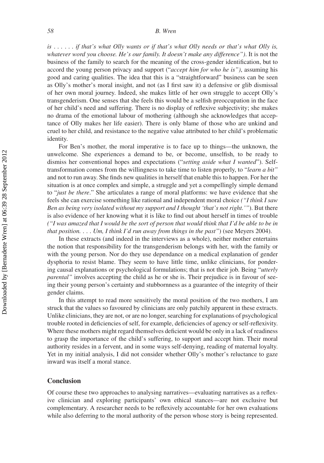#### *58 B. Wren*

*is ...... if that's what Olly wants or if that's what Olly needs or that's what Olly is, whatever word you choose. He's our family. It doesn't make any difference")*. It is not the business of the family to search for the meaning of the cross-gender identification, but to accord the young person privacy and support ("*accept him for who he is")*, assuming his good and caring qualities. The idea that this is a "straightforward" business can be seen as Olly's mother's moral insight, and not (as I first saw it) a defensive or glib dismissal of her own moral journey. Indeed, she makes little of her own struggle to accept Olly's transgenderism. One senses that she feels this would be a selfish preoccupation in the face of her child's need and suffering. There is no display of reflexive subjectivity; she makes no drama of the emotional labour of mothering (although she acknowledges that acceptance of Olly makes her life easier). There is only blame of those who are unkind and cruel to her child, and resistance to the negative value attributed to her child's problematic identity.

For Ben's mother, the moral imperative is to face up to things—the unknown, the unwelcome. She experiences a demand to be, or become, unselfish, to be ready to dismiss her conventional hopes and expectations ("*setting aside what I wanted*"). Selftransformation comes from the willingness to take time to listen properly, to "*learn a bit"* and not to run away. She finds new qualities in herself that enable this to happen. For her the situation is at once complex and simple, a struggle and yet a compellingly simple demand to "*just be there*." She articulates a range of moral platforms: we have evidence that she feels she can exercise something like rational and independent moral choice *("I think I saw Ben as being very isolated without my support and I thought 'that's not right.'"*). But there is also evidence of her knowing what it is like to find out about herself in times of trouble *("I was amazed that I would be the sort of person that would think that I'd be able to be in that position. ... Um, I think I'd run away from things in the past"*) (see Meyers 2004).

In these extracts (and indeed in the interviews as a whole), neither mother entertains the notion that responsibility for the transgenderism belongs with her, with the family or with the young person. Nor do they use dependance on a medical explanation of gender dysphoria to resist blame. They seem to have little time, unlike clinicians, for pondering causal explanations or psychological formulations; that is not their job. Being "*utterly parental"* involves accepting the child as he or she is. Their prejudice is in favour of seeing their young person's certainty and stubbornness as a guarantee of the integrity of their gender claims.

In this attempt to read more sensitively the moral position of the two mothers, I am struck that the values so favoured by clinicians are only patchily apparent in these extracts. Unlike clinicians, they are not, or are no longer, searching for explanations of psychological trouble rooted in deficiencies of self, for example, deficiencies of agency or self-reflexivity. Where these mothers might regard themselves deficient would be only in a lack of readiness to grasp the importance of the child's suffering, to support and accept him. Their moral authority resides in a fervent, and in some ways self-denying, reading of maternal loyalty. Yet in my initial analysis, I did not consider whether Olly's mother's reluctance to gaze inward was itself a moral stance.

## **Conclusion**

Of course these two approaches to analysing narratives—evaluating narratives as a reflexive clinician and exploring participants' own ethical stances—are not exclusive but complementary. A researcher needs to be reflexively accountable for her own evaluations while also deferring to the moral authority of the person whose story is being represented.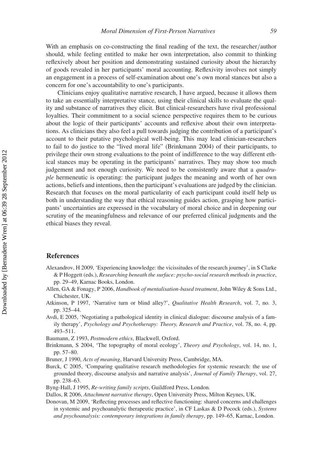With an emphasis on co-constructing the final reading of the text, the researcher*/*author should, while feeling entitled to make her own interpretation, also commit to thinking reflexively about her position and demonstrating sustained curiosity about the hierarchy of goods revealed in her participants' moral accounting. Reflexivity involves not simply an engagement in a process of self-examination about one's own moral stances but also a concern for one's accountability to one's participants.

Clinicians enjoy qualitative narrative research, I have argued, because it allows them to take an essentially interpretative stance, using their clinical skills to evaluate the quality and substance of narratives they elicit. But clinical-researchers have rival professional loyalties. Their commitment to a social science perspective requires them to be curious about the logic of their participants' accounts and reflexive about their own interpretations. As clinicians they also feel a pull towards judging the contribution of a participant's account to their putative psychological well-being. This may lead clinician-researchers to fail to do justice to the "lived moral life" (Brinkmann 2004) of their participants, to privilege their own strong evaluations to the point of indifference to the way different ethical stances may be operating in the participants' narratives. They may show too much judgement and not enough curiosity. We need to be consistently aware that a *quadruple* hermeneutic is operating: the participant judges the meaning and worth of her own actions, beliefs and intentions, then the participant's evaluations are judged by the clinician. Research that focuses on the moral particularity of each participant could itself help us both in understanding the way that ethical reasoning guides action, grasping how participants' uncertainties are expressed in the vocabulary of moral choice and in deepening our scrutiny of the meaningfulness and relevance of our preferred clinical judgments and the ethical biases they reveal.

## **References**

- Alexandrov, H 2009, 'Experiencing knowledge: the vicissitudes of the research journey', in S Clarke & P Hoggett (eds.), *Researching beneath the surface: psycho-social research methods in practice*, pp. 29–49, Karnac Books, London.
- Allen, GA & Fonagy, P 2006, *Handbook of mentalisation-based treatment*, John Wiley & Sons Ltd., Chichester, UK.
- Atkinson, P 1997, 'Narrative turn or blind alley?', *Qualitative Health Research*, vol. 7, no. 3, pp. 325–44.
- Avdi, E 2005, 'Negotiating a pathological identity in clinical dialogue: discourse analysis of a family therapy', *Psychology and Psychotherapy: Theory, Research and Practice*, vol. 78, no. 4, pp. 493–511.
- Baumann, Z 1993, *Postmodern ethics*, Blackwell, Oxford.
- Brinkmann, S 2004, 'The topography of moral ecology', *Theory and Psychology*, vol. 14, no. 1, pp. 57–80.
- Bruner, J 1990, *Acts of meaning*, Harvard University Press, Cambridge, MA.
- Burck, C 2005, 'Comparing qualitative research methodologies for systemic research: the use of grounded theory, discourse analysis and narrative analysis', *Journal of Family Therapy*, vol. 27, pp. 238–63.
- Byng-Hall, J 1995, *Re-writing family scripts*, Guildford Press, London.
- Dallos, R 2006, *Attachment narrative therapy*, Open University Press, Milton Keynes, UK.
- Donovan, M 2009, 'Reflecting processes and reflective functioning: shared concerns and challenges in systemic and psychoanalytic therapeutic practice', in CF Laskas & D Pocock (eds.), *Systems and psychoanalysis: contemporary integrations in family therapy*, pp. 149–65, Karnac, London.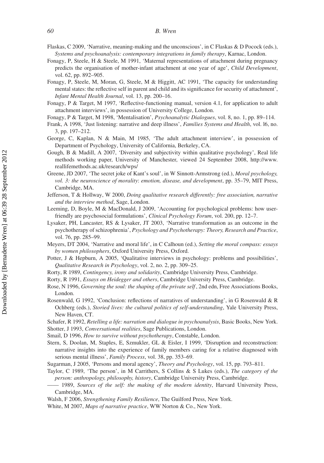- Fonagy, P, Steele, H & Steele, M 1991, 'Maternal representations of attachment during pregnancy predicts the organisation of mother-infant attachment at one year of age', *Child Development*, vol. 62, pp. 892–905.
- Fonagy, P, Steele, M, Moran, G, Steele, M & Higgitt, AC 1991, 'The capacity for understanding mental states: the reflective self in parent and child and its significance for security of attachment', *Infant Mental Health Journal*, vol. 13, pp. 200–16.
- Fonagy, P & Target, M 1997, 'Reflective-functioning manual, version 4.1, for application to adult attachment interviews', in possession of University College, London.
- Fonagy, P & Target, M 1998, 'Mentalisation', *Psychoanalytic Dialogues*, vol. 8, no. 1, pp. 89–114.
- Frank, A 1998, 'Just listening: narrative and deep illness', *Families Systems and Health*, vol. l6, no. 3, pp. 197–212.
- George, C, Kaplan, N & Main, M 1985, 'The adult attachment interview', in possession of Department of Psychology, University of California, Berkeley, CA.
- Gough, B & Madill, A 2007, 'Diversity and subjectivity within qualitative psychology', Real life methods working paper, University of Manchester, viewed 24 September 2008, http://www. reallifemethods.ac.uk/research/wps/
- Greene, JD 2007, 'The secret joke of Kant's soul', in W Sinnott-Armstrong (ed.), *Moral psychology, vol. 3: the neuroscience of morality*: *emotion, disease, and development*, pp. 35–79, MIT Press, Cambridge, MA.
- Jefferson, T & Hollway, W 2000, *Doing qualitative research differently: free association, narrative and the interview method*, Sage, London.
- Leeming, D, Boyle, M & MacDonald, J 2009, 'Accounting for psychological problems: how userfriendly are psychosocial formulations', *Clinical Psychology Forum*, vol. 200, pp. 12–7.
- Lysaker, PH, Lancaster, RS & Lysaker, JT 2003, 'Narrative transformation as an outcome in the psychotherapy of schizophrenia', *Psychology and Psychotherapy: Theory, Research and Practice*, vol. 76, pp. 285–99.
- Meyers, DT 2004, 'Narrative and moral life', in C Calhoun (ed.), *Setting the moral compass: essays by women philosophers*, Oxford University Press, Oxford.
- Potter, J & Hepburn, A 2005, 'Qualitative interviews in psychology: problems and possibilities', *Qualitative Research in Psychology*, vol. 2, no. 2, pp. 309–25.
- Rorty, R 1989, *Contingency, irony and solidarity*, Cambridge University Press, Cambridge.
- Rorty, R 1991, *Essays on Heidegger and others*, Cambridge University Press, Cambridge.
- Rose, N 1996, *Governing the soul: the shaping of the private self* , 2nd edn, Free Associations Books, London.
- Rosenwald, G 1992, 'Conclusion: reflections of narratives of understanding', in G Rosenwald & R Ochberg (eds.), *Storied lives: the cultural politics of self-understanding*, Yale University Press, New Haven, CT.
- Schafer, R 1992, *Retelling a life: narration and dialogue in psychoanalysis*, Basic Books, New York.
- Shotter, J 1993, *Conversational realities*, Sage Publications, London.
- Smail, D 1996, *How to survive without psychotherapy*, Constable, London.
- Stern, S, Doolan, M, Staples, E, Szmukler, GL & Eisler, I 1999, 'Disruption and reconstruction: narrative insights into the experience of family members caring for a relative diagnosed with serious mental illness', *Family Process*, vol. 38, pp. 353–69.

Sugarman, J 2005, 'Persons and moral agency', *Theory and Psychology*, vol. 15, pp. 793–811.

- Taylor, C 1989, 'The person', in M Carrithers, S Collins & S Lukes (eds.), *The category of the person: anthropology, philosophy, history*, Cambridge University Press, Cambridge.
	- —— 1989, *Sources of the self: the making of the modern identity*, Harvard University Press, Cambridge, MA.
- Walsh, F 2006, *Strengthening Family Resilience*, The Guilford Press, New York.
- White, M 2007, *Maps of narrative practice*, WW Norton & Co., New York.

Flaskas, C 2009, 'Narrative, meaning-making and the unconscious', in C Flaskas & D Pocock (eds.), *Systems and psychoanalysis: contemporary integrations in family therapy*, Karnac, London.